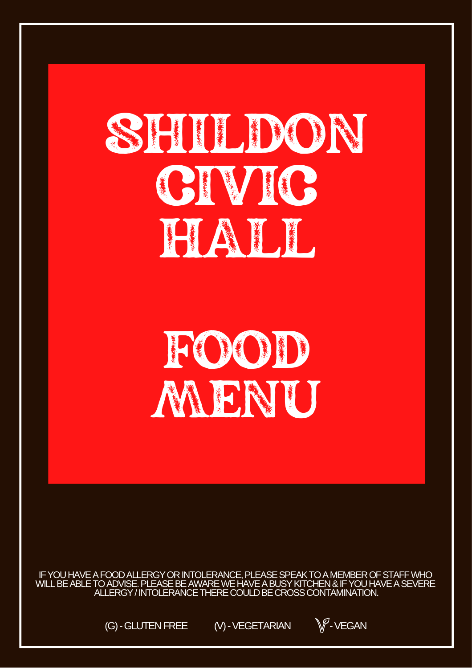# SHIDON CIVIC **FIATH**

## FOOD MENU

IF YOU HAVE A FOOD ALLERGY OR INTOLERANCE, PLEASE SPEAK TO A MEMBER OF STAFF WHO<br>WILL BE ABLE TO ADVISE. PLEASE BE AWARE WE HAVE A BUSY KITCHEN & IF YOU HAVE A SEVERE ALLERGY / INTOLERANCE THERE COULD BE CROSS CONTAMINATION.

> (G) - GLUTEN FREE (V) - VEGETARIAN

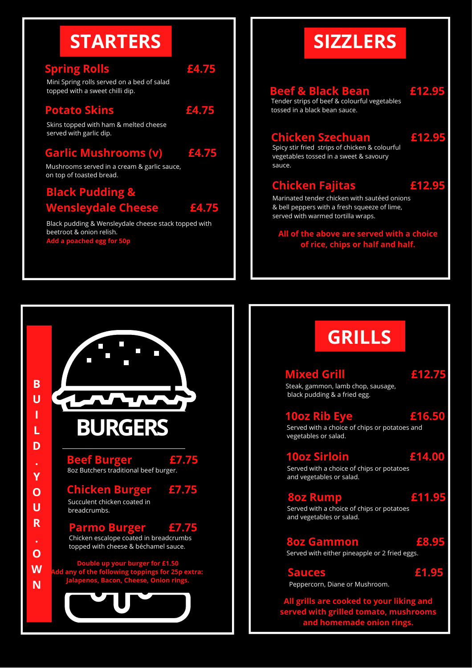## **STARTERS**

#### **Spring Rolls £4.75**

Mini Spring rolls served on a bed of salad topped with a sweet chilli dip.

#### **Potato Skins £4.75**

Skins topped with ham & melted cheese served with garlic dip.

#### **Garlic Mushrooms (v) £4.75**

Mushrooms served in a cream & garlic sauce, on top of toasted bread.

#### **Black Pudding & Wensleydale Cheese £4.75**

Black pudding & Wensleydale cheese stack topped with beetroot & onion relish. **Add a poached egg for !** 

**BURGERS**

8oz Butchers traditional beef burger.

Succulent chicken coated in

breadcrumbs.

**B U I L**

**D**

**Y O U R**

**O W N**

**Beef Burger £7.75**

**Chicken Burger £7.75**

**Parmo Burger £7.75**

Chicken escalope coated in breadcrumbs topped with cheese & béchamel sauce.

**Double up your burger for £1.50 Add any of the following toppings for 25p extra: Jalapenos, Bacon, Cheese, Onion rings.**

#### **SIZZLERS Beef & Black Bean £12.95 Chicken Fajitas £12.95 Chicken Szechuan £12.95** Tender strips of beef & colourful vegetables tossed in a black bean sauce. Marinated tender chicken with sautéed onions & bell peppers with a fresh squeeze of lime, served with warmed tortilla wraps. Spicy stir fried strips of chicken & colourful vegetables tossed in a sweet & savoury sauce.

**All of the above are served with a choice of rice, chips or half and half.**

## **GRILLS**

**Mixed Grill £12.75** Steak, gammon, lamb chop, sausage, black pudding & a fried egg.

**10oz Rib Eye £16.50** Served with a choice of chips or potatoes and vegetables or salad.

#### **10oz Sirloin £14.00** Served with a choice of chips or potatoes

and vegetables or salad.

#### **8oz Rump £11.95**

Served with a choice of chips or potatoes and vegetables or salad.

#### **8oz Gammon £8.95**

Served with either pineapple or 2 fried eggs.

**Sauces £1.95** Peppercorn, Diane or Mushroom.

**All grills are cooked to your liking and served with grilled tomato, mushrooms and homemade onion rings.**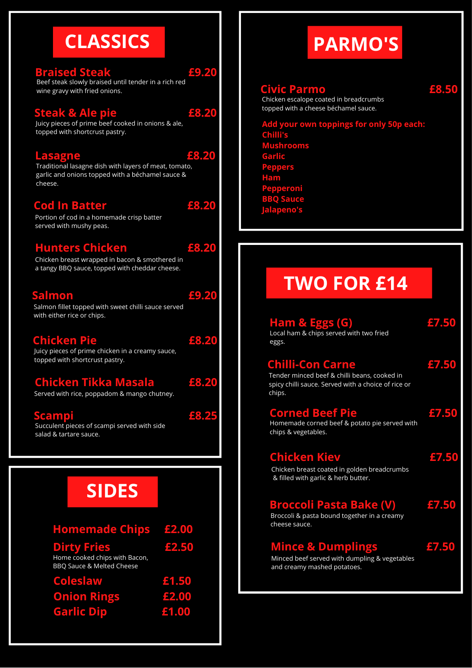## **CLASSICS**

#### **Braised Steak £9.20**

Beef steak slowly braised until tender in a rich red wine gravy with fried onions.

#### **Steak & Ale pie £8.20**

Juicy pieces of prime beef cooked in onions & ale, topped with shortcrust pastry.

#### **Lasagne £8.20**

Traditional lasagne dish with layers of meat, tomato, garlic and onions topped with a béchamel sauce & cheese.

#### **Cod In Batter £8.20**

Portion of cod in a homemade crisp batter served with mushy peas.

#### **Hunters Chicken £8.20**

Chicken breast wrapped in bacon & smothered in a tangy BBQ sauce, topped with cheddar cheese.

#### **Salmon £9.20**

Salmon fillet topped with sweet chilli sauce served with either rice or chips.

#### **Chicken Pie £8.20**

Juicy pieces of prime chicken in a creamy sauce, topped with shortcrust pastry.

#### **Chicken Tikka Masala £8.20**

Served with rice, poppadom & mango chutney.

**Scampi £8.25**

#### Succulent pieces of scampi served with side salad & tartare sauce.

**SIDES**

| <b>Homemade Chips £2.00</b>                                                                 |       |
|---------------------------------------------------------------------------------------------|-------|
| <b>Dirty Fries</b><br>Home cooked chips with Bacon,<br><b>BBO Sauce &amp; Melted Cheese</b> | £2.50 |
| <b>Coleslaw</b>                                                                             | £1.50 |
| <b>Onion Rings</b>                                                                          | £2.00 |
| <b>Garlic Dip</b>                                                                           | £1.00 |

## **PARMO'S**

#### **Civic Parmo £8.50**

Chicken escalope coated in breadcrumbs topped with a cheese béchamel sauce.

**Add your own toppings for only 50p each: Chilli's Mushrooms Garlic Peppers Ham Pepperoni BBQ Sauce Jalapeno's**

### **TWO FOR £14**

| Ham & Eggs (G)<br>Local ham & chips served with two fried<br>eggs.                                                                       | £7.50 |
|------------------------------------------------------------------------------------------------------------------------------------------|-------|
| <b>Chilli-Con Carne</b><br>Tender minced beef & chilli beans, cooked in<br>spicy chilli sauce. Served with a choice of rice or<br>chips. | £7.50 |
| <b>Corned Beef Pie</b><br>Homemade corned beef & potato pie served with<br>chips & vegetables.                                           | £7.50 |
| <b>Chicken Kiev</b><br>Chicken breast coated in golden breadcrumbs<br>& filled with garlic & herb butter.                                | £7.50 |
| <b>Broccoli Pasta Bake (V)</b><br>Broccoli & pasta bound together in a creamy<br>cheese sauce.                                           | £7.50 |
| <b>Mince &amp; Dumplings</b><br>Minced beef served with dumpling & vegetables<br>and creamy mashed potatoes.                             | £7.50 |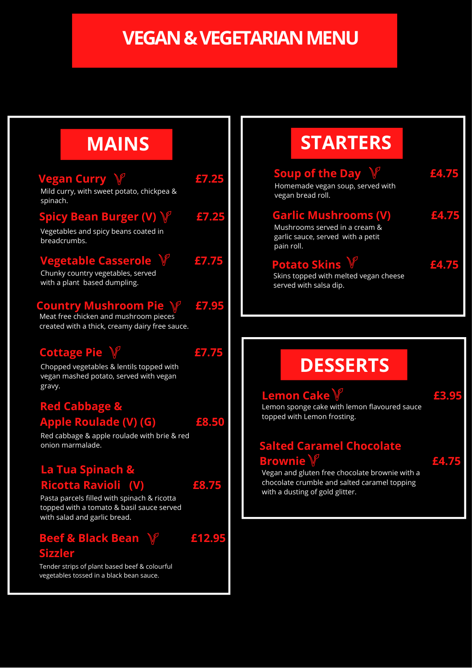## **VEGAN & VEGETARIAN MENU**

#### **Vegan Curry £7.25 Vegetable Casserole £7.75 Country Mushroom Pie £7.95** Mild curry, with sweet potato, chickpea & spinach. Chunky country vegetables, served with a plant based dumpling. **Spicy Bean Burger (V) £7.25** Vegetables and spicy beans coated in breadcrumbs. Meat free chicken and mushroom pieces created with a thick, creamy dairy free sauce. **Cottage Pie £7.75** Chopped vegetables & lentils topped with vegan mashed potato, served with vegan gravy. **Red Cabbage & Apple Roulade (V) (G) £8.50 La Tua Spinach & Ricotta Ravioli (V) £8.75** Red cabbage & apple roulade with brie & red onion marmalade. Pasta parcels filled with spinach & ricotta **MAINS**

## **STARTERS**

| <b>Soup of the Day V</b><br>Homemade vegan soup, served with<br>vegan bread roll.                               | £4.75 |
|-----------------------------------------------------------------------------------------------------------------|-------|
| <b>Garlic Mushrooms (V)</b><br>Mushrooms served in a cream &<br>garlic sauce, served with a petit<br>pain roll. | £4.75 |
| <b>Potato Skins V</b><br>Skins topped with melted vegan cheese<br>served with salsa dip.                        | £4.75 |

## **DESSERTS**

#### **Lemon Cake £3.95**

Lemon sponge cake with lemon flavoured sauce topped with Lemon frosting.

#### **Salted Caramel Chocolate Brownie £4.75**

Vegan and gluten free chocolate brownie with a chocolate crumble and salted caramel topping with a dusting of gold glitter.

topped with a tomato & basil sauce served with salad and garlic bread.

#### **Beef & Black Bean £12.95 Sizzler**



Tender strips of plant based beef & colourful vegetables tossed in a black bean sauce.